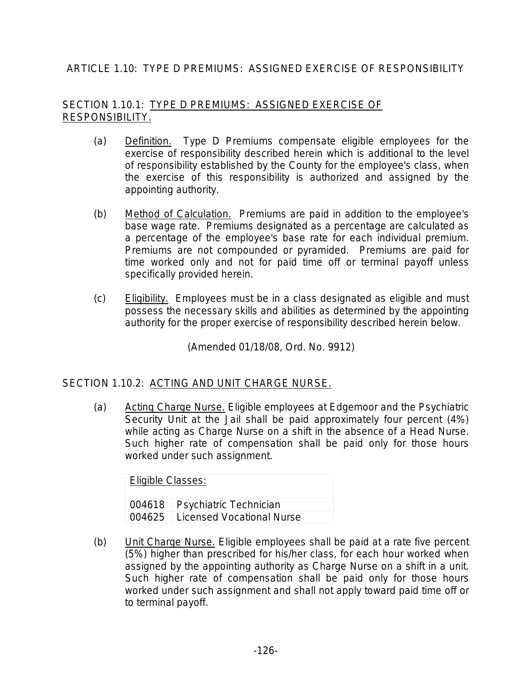# ARTICLE 1.10: TYPE D PREMIUMS: ASSIGNED EXERCISE OF RESPONSIBILITY

### SECTION 1.10.1: TYPE D PREMIUMS: ASSIGNED EXERCISE OF RESPONSIBILITY.

- (a) Definition. Type D Premiums compensate eligible employees for the exercise of responsibility described herein which is additional to the level of responsibility established by the County for the employee's class, when the exercise of this responsibility is authorized and assigned by the appointing authority.
- (b) Method of Calculation. Premiums are paid in addition to the employee's base wage rate. Premiums designated as a percentage are calculated as a percentage of the employee's base rate for each individual premium. Premiums are not compounded or pyramided. Premiums are paid for time worked only and not for paid time off or terminal payoff unless specifically provided herein.
- (c) Eligibility. Employees must be in a class designated as eligible and must possess the necessary skills and abilities as determined by the appointing authority for the proper exercise of responsibility described herein below.

(Amended 01/18/08, Ord. No. 9912)

#### SECTION 1.10.2: ACTING AND UNIT CHARGE NURSE.

(a) Acting Charge Nurse. Eligible employees at Edgemoor and the Psychiatric Security Unit at the Jail shall be paid approximately four percent (4%) while acting as Charge Nurse on a shift in the absence of a Head Nurse. Such higher rate of compensation shall be paid only for those hours worked under such assignment.

Eligible Classes: 004618 Psychiatric Technician 004625 Licensed Vocational Nurse

(b) Unit Charge Nurse. Eligible employees shall be paid at a rate five percent (5%) higher than prescribed for his/her class, for each hour worked when assigned by the appointing authority as Charge Nurse on a shift in a unit. Such higher rate of compensation shall be paid only for those hours worked under such assignment and shall not apply toward paid time off or to terminal payoff.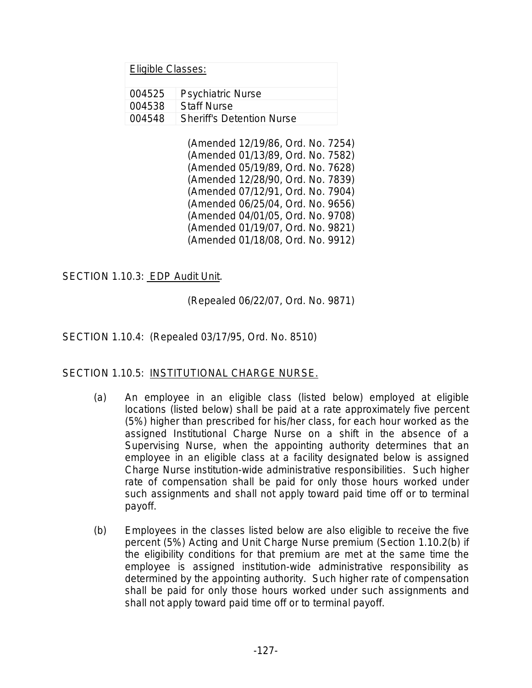| 004525 | <b>Psychiatric Nurse</b>           |
|--------|------------------------------------|
| 004538 | ⊟Staff Nurse                       |
|        | 004548   Sheriff's Detention Nurse |

(Amended 12/19/86, Ord. No. 7254) (Amended 01/13/89, Ord. No. 7582) (Amended 05/19/89, Ord. No. 7628) (Amended 12/28/90, Ord. No. 7839) (Amended 07/12/91, Ord. No. 7904) (Amended 06/25/04, Ord. No. 9656) (Amended 04/01/05, Ord. No. 9708) (Amended 01/19/07, Ord. No. 9821) (Amended 01/18/08, Ord. No. 9912)

## SECTION 1.10.3: EDP Audit Unit.

(Repealed 06/22/07, Ord. No. 9871)

SECTION 1.10.4: (Repealed 03/17/95, Ord. No. 8510)

#### SECTION 1.10.5: INSTITUTIONAL CHARGE NURSE.

- (a) An employee in an eligible class (listed below) employed at eligible locations (listed below) shall be paid at a rate approximately five percent (5%) higher than prescribed for his/her class, for each hour worked as the assigned Institutional Charge Nurse on a shift in the absence of a Supervising Nurse, when the appointing authority determines that an employee in an eligible class at a facility designated below is assigned Charge Nurse institution-wide administrative responsibilities. Such higher rate of compensation shall be paid for only those hours worked under such assignments and shall not apply toward paid time off or to terminal payoff.
- (b) Employees in the classes listed below are also eligible to receive the five percent (5%) Acting and Unit Charge Nurse premium (Section 1.10.2(b) if the eligibility conditions for that premium are met at the same time the employee is assigned institution-wide administrative responsibility as determined by the appointing authority. Such higher rate of compensation shall be paid for only those hours worked under such assignments and shall not apply toward paid time off or to terminal payoff.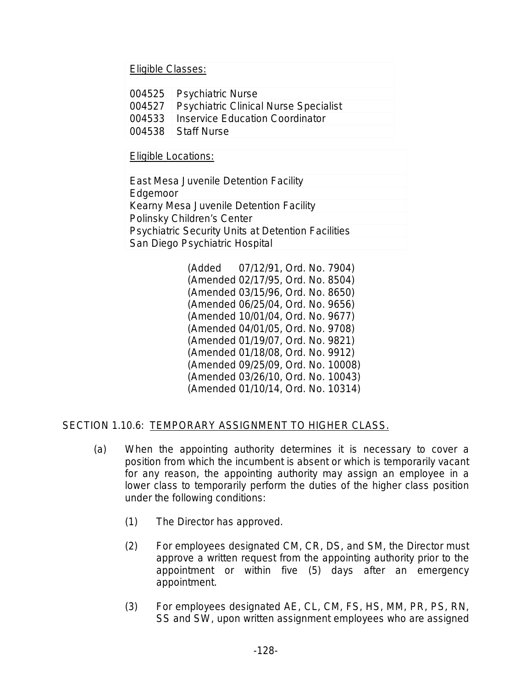Eligible Classes:

| 004525 Psychiatric Nurse                     |
|----------------------------------------------|
| 004527 Psychiatric Clinical Nurse Specialist |
| 004533   Inservice Education Coordinator     |
| 004538 Staff Nurse                           |
|                                              |

Eligible Locations:

East Mesa Juvenile Detention Facility Edgemoor Kearny Mesa Juvenile Detention Facility Polinsky Children's Center Psychiatric Security Units at Detention Facilities San Diego Psychiatric Hospital

> (Added 07/12/91, Ord. No. 7904) (Amended 02/17/95, Ord. No. 8504) (Amended 03/15/96, Ord. No. 8650) (Amended 06/25/04, Ord. No. 9656) (Amended 10/01/04, Ord. No. 9677) (Amended 04/01/05, Ord. No. 9708) (Amended 01/19/07, Ord. No. 9821) (Amended 01/18/08, Ord. No. 9912) (Amended 09/25/09, Ord. No. 10008) (Amended 03/26/10, Ord. No. 10043) (Amended 01/10/14, Ord. No. 10314)

## SECTION 1.10.6: TEMPORARY ASSIGNMENT TO HIGHER CLASS.

- (a) When the appointing authority determines it is necessary to cover a position from which the incumbent is absent or which is temporarily vacant for any reason, the appointing authority may assign an employee in a lower class to temporarily perform the duties of the higher class position under the following conditions:
	- (1) The Director has approved.
	- (2) For employees designated CM, CR, DS, and SM, the Director must approve a written request from the appointing authority prior to the appointment or within five (5) days after an emergency appointment.
	- (3) For employees designated AE, CL, CM, FS, HS, MM, PR, PS, RN, SS and SW, upon written assignment employees who are assigned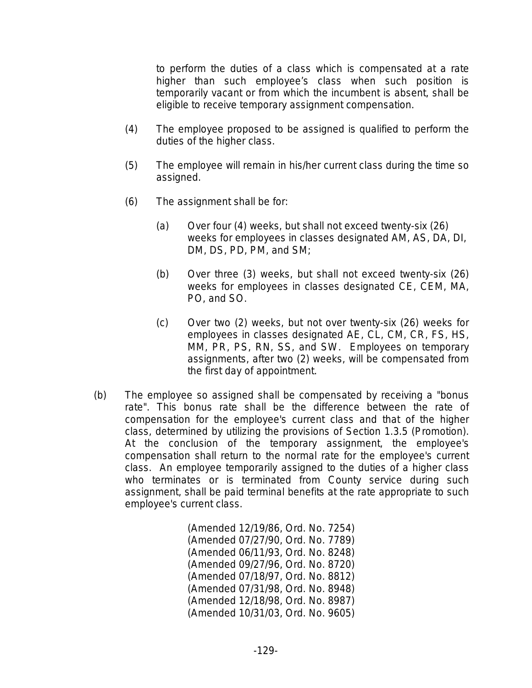to perform the duties of a class which is compensated at a rate higher than such employee's class when such position is temporarily vacant or from which the incumbent is absent, shall be eligible to receive temporary assignment compensation.

- (4) The employee proposed to be assigned is qualified to perform the duties of the higher class.
- (5) The employee will remain in his/her current class during the time so assigned.
- (6) The assignment shall be for:
	- (a) Over four (4) weeks, but shall not exceed twenty-six (26) weeks for employees in classes designated AM, AS, DA, DI, DM, DS, PD, PM, and SM;
	- (b) Over three (3) weeks, but shall not exceed twenty-six (26) weeks for employees in classes designated CE, CEM, MA, PO, and SO.
	- (c) Over two (2) weeks, but not over twenty-six (26) weeks for employees in classes designated AE, CL, CM, CR, FS, HS, MM, PR, PS, RN, SS, and SW. Employees on temporary assignments, after two (2) weeks, will be compensated from the first day of appointment.
- (b) The employee so assigned shall be compensated by receiving a "bonus rate". This bonus rate shall be the difference between the rate of compensation for the employee's current class and that of the higher class, determined by utilizing the provisions of Section 1.3.5 (Promotion). At the conclusion of the temporary assignment, the employee's compensation shall return to the normal rate for the employee's current class. An employee temporarily assigned to the duties of a higher class who terminates or is terminated from County service during such assignment, shall be paid terminal benefits at the rate appropriate to such employee's current class.

(Amended 12/19/86, Ord. No. 7254) (Amended 07/27/90, Ord. No. 7789) (Amended 06/11/93, Ord. No. 8248) (Amended 09/27/96, Ord. No. 8720) (Amended 07/18/97, Ord. No. 8812) (Amended 07/31/98, Ord. No. 8948) (Amended 12/18/98, Ord. No. 8987) (Amended 10/31/03, Ord. No. 9605)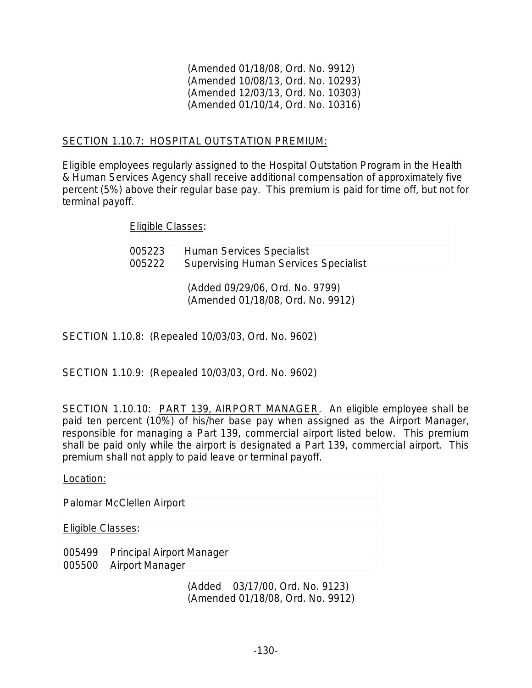(Amended 01/18/08, Ord. No. 9912) (Amended 10/08/13, Ord. No. 10293) (Amended 12/03/13, Ord. No. 10303) (Amended 01/10/14, Ord. No. 10316)

### SECTION 1.10.7: HOSPITAL OUTSTATION PREMIUM:

Eligible employees regularly assigned to the Hospital Outstation Program in the Health & Human Services Agency shall receive additional compensation of approximately five percent (5%) above their regular base pay. This premium is paid for time off, but not for terminal payoff.

#### Eligible Classes:

005223 Human Services Specialist 005222 Supervising Human Services Specialist

> (Added 09/29/06, Ord. No. 9799) (Amended 01/18/08, Ord. No. 9912)

SECTION 1.10.8: (Repealed 10/03/03, Ord. No. 9602)

SECTION 1.10.9: (Repealed 10/03/03, Ord. No. 9602)

SECTION 1.10.10: PART 139, AIRPORT MANAGER. An eligible employee shall be paid ten percent (10%) of his/her base pay when assigned as the Airport Manager, responsible for managing a Part 139, commercial airport listed below. This premium shall be paid only while the airport is designated a Part 139, commercial airport. This premium shall not apply to paid leave or terminal payoff.

Location: Palomar McClellen Airport Eligible Classes: 005499 Principal Airport Manager 005500 Airport Manager

(Added 03/17/00, Ord. No. 9123) (Amended 01/18/08, Ord. No. 9912)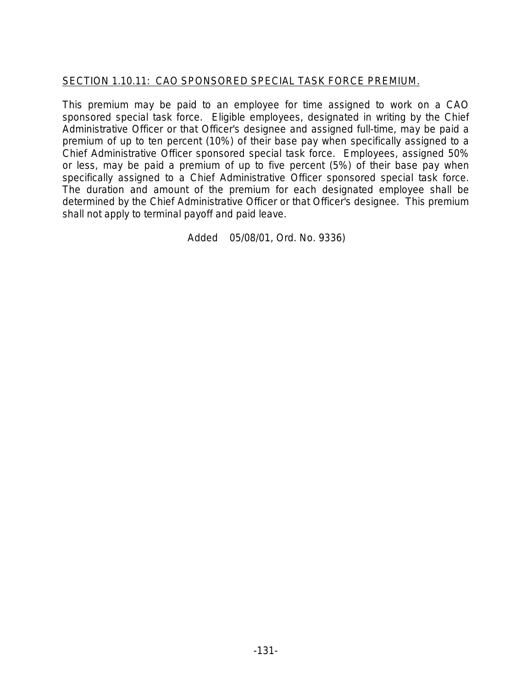# SECTION 1.10.11: CAO SPONSORED SPECIAL TASK FORCE PREMIUM.

This premium may be paid to an employee for time assigned to work on a CAO sponsored special task force. Eligible employees, designated in writing by the Chief Administrative Officer or that Officer's designee and assigned full-time, may be paid a premium of up to ten percent (10%) of their base pay when specifically assigned to a Chief Administrative Officer sponsored special task force. Employees, assigned 50% or less, may be paid a premium of up to five percent (5%) of their base pay when specifically assigned to a Chief Administrative Officer sponsored special task force. The duration and amount of the premium for each designated employee shall be determined by the Chief Administrative Officer or that Officer's designee. This premium shall not apply to terminal payoff and paid leave.

Added 05/08/01, Ord. No. 9336)